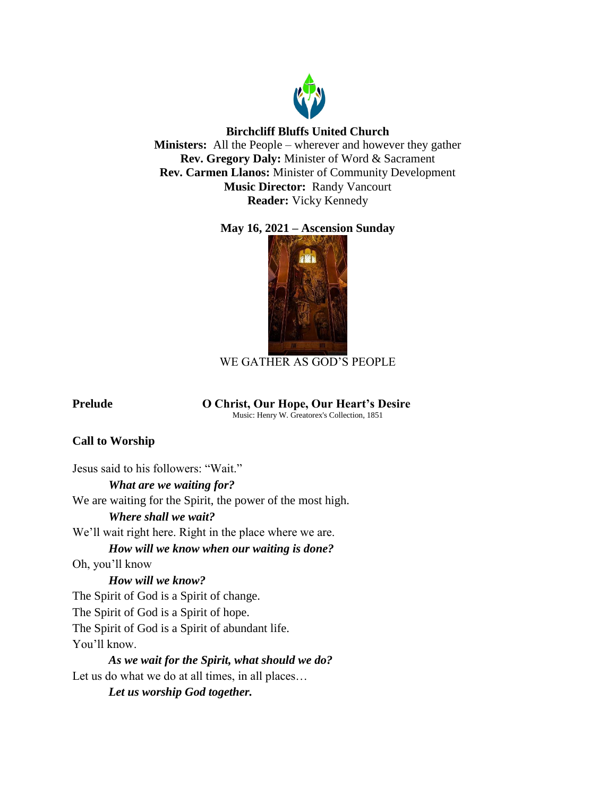

## **Birchcliff Bluffs United Church**

**Ministers:** All the People – wherever and however they gather **Rev. Gregory Daly:** Minister of Word & Sacrament **Rev. Carmen Llanos:** Minister of Community Development **Music Director:** Randy Vancourt **Reader:** Vicky Kennedy

# **May 16, 2021 – Ascension Sunday**



# WE GATHER AS GOD'S PEOPLE

## **Prelude O Christ, Our Hope, Our Heart's Desire**

Music: Henry W. Greatorex's Collection, 1851

# **Call to Worship**

Jesus said to his followers: "Wait." *What are we waiting for?* We are waiting for the Spirit, the power of the most high. *Where shall we wait?* We'll wait right here. Right in the place where we are. *How will we know when our waiting is done?* Oh, you'll know *How will we know?* The Spirit of God is a Spirit of change. The Spirit of God is a Spirit of hope. The Spirit of God is a Spirit of abundant life. You'll know. *As we wait for the Spirit, what should we do?* Let us do what we do at all times, in all places… *Let us worship God together.*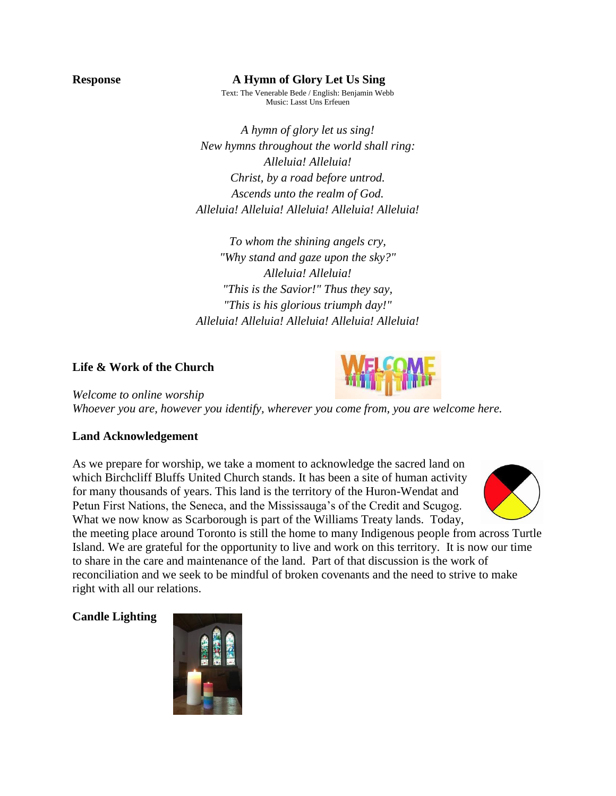### **Response A Hymn of Glory Let Us Sing**

Text: The Venerable Bede / English: Benjamin Webb Music: Lasst Uns Erfeuen

*A hymn of glory let us sing! New hymns throughout the world shall ring: Alleluia! Alleluia! Christ, by a road before untrod. Ascends unto the realm of God. Alleluia! Alleluia! Alleluia! Alleluia! Alleluia!*

*To whom the shining angels cry, "Why stand and gaze upon the sky?" Alleluia! Alleluia! "This is the Savior!" Thus they say, "This is his glorious triumph day!" Alleluia! Alleluia! Alleluia! Alleluia! Alleluia!*

### **Life & Work of the Church**



*Welcome to online worship Whoever you are, however you identify, wherever you come from, you are welcome here.*

## **Land Acknowledgement**

As we prepare for worship, we take a moment to acknowledge the sacred land on which Birchcliff Bluffs United Church stands. It has been a site of human activity for many thousands of years. This land is the territory of the Huron-Wendat and Petun First Nations, the Seneca, and the Mississauga's of the Credit and Scugog. What we now know as Scarborough is part of the Williams Treaty lands. Today,



the meeting place around Toronto is still the home to many Indigenous people from across Turtle Island. We are grateful for the opportunity to live and work on this territory. It is now our time to share in the care and maintenance of the land. Part of that discussion is the work of reconciliation and we seek to be mindful of broken covenants and the need to strive to make right with all our relations.

## **Candle Lighting**

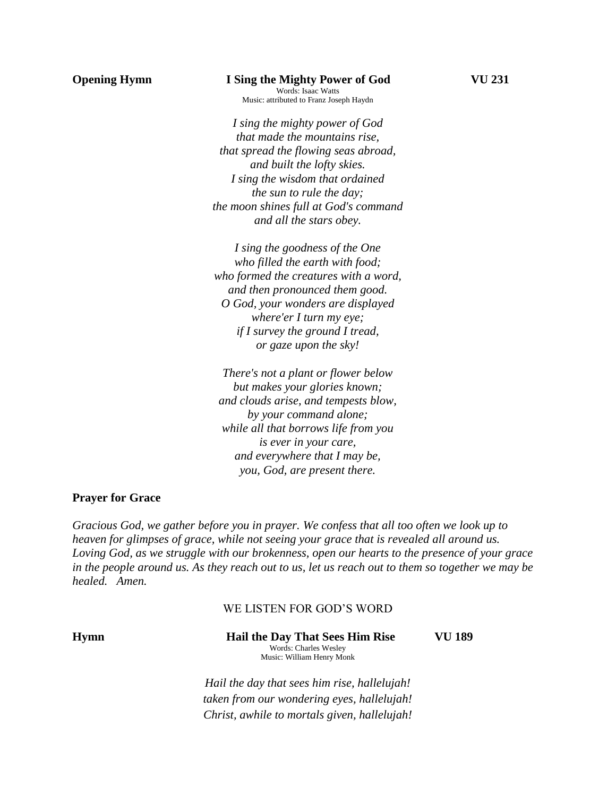### **Opening Hymn** I Sing the Mighty Power of God **VU 231**

Words: Isaac Watts Music: attributed to Franz Joseph Haydn

*I sing the mighty power of God that made the mountains rise, that spread the flowing seas abroad, and built the lofty skies. I sing the wisdom that ordained the sun to rule the day; the moon shines full at God's command and all the stars obey.*

*I sing the goodness of the One who filled the earth with food; who formed the creatures with a word, and then pronounced them good. O God, your wonders are displayed where'er I turn my eye; if I survey the ground I tread, or gaze upon the sky!*

*There's not a plant or flower below but makes your glories known; and clouds arise, and tempests blow, by your command alone; while all that borrows life from you is ever in your care, and everywhere that I may be, you, God, are present there.*

### **Prayer for Grace**

*Gracious God, we gather before you in prayer. We confess that all too often we look up to heaven for glimpses of grace, while not seeing your grace that is revealed all around us. Loving God, as we struggle with our brokenness, open our hearts to the presence of your grace in the people around us. As they reach out to us, let us reach out to them so together we may be healed. Amen.*

## WE LISTEN FOR GOD'S WORD

**Hymn Hail the Day That Sees Him Rise VU 189** Words: Charles Wesley Music: William Henry Monk

> *Hail the day that sees him rise, hallelujah! taken from our wondering eyes, hallelujah! Christ, awhile to mortals given, hallelujah!*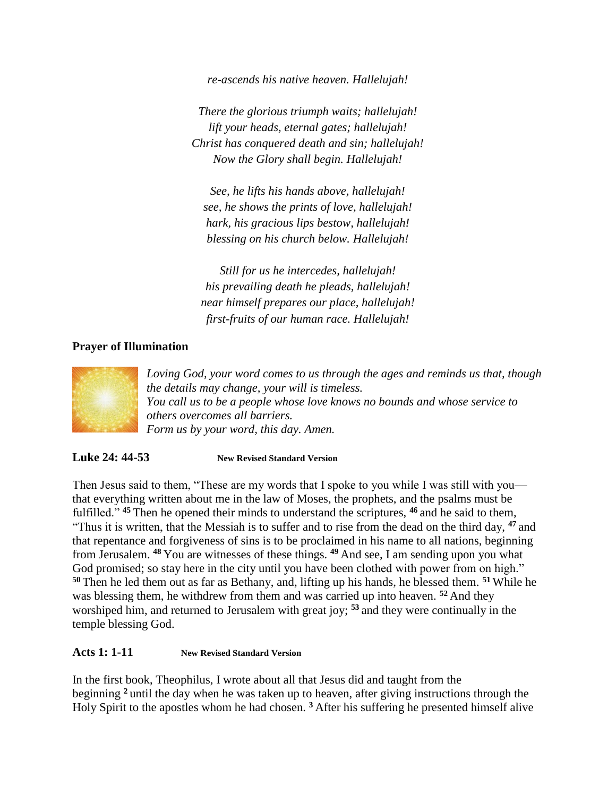*re-ascends his native heaven. Hallelujah!*

*There the glorious triumph waits; hallelujah! lift your heads, eternal gates; hallelujah! Christ has conquered death and sin; hallelujah! Now the Glory shall begin. Hallelujah!*

*See, he lifts his hands above, hallelujah! see, he shows the prints of love, hallelujah! hark, his gracious lips bestow, hallelujah! blessing on his church below. Hallelujah!*

*Still for us he intercedes, hallelujah! his prevailing death he pleads, hallelujah! near himself prepares our place, hallelujah! first-fruits of our human race. Hallelujah!*

## **Prayer of Illumination**



*Loving God, your word comes to us through the ages and reminds us that, though the details may change, your will is timeless. You call us to be a people whose love knows no bounds and whose service to others overcomes all barriers. Form us by your word, this day. Amen.* 

**Luke 24: 44-53 New Revised Standard Version**

Then Jesus said to them, "These are my words that I spoke to you while I was still with you that everything written about me in the law of Moses, the prophets, and the psalms must be fulfilled." **<sup>45</sup>** Then he opened their minds to understand the scriptures, **<sup>46</sup>** and he said to them, "Thus it is written, that the Messiah is to suffer and to rise from the dead on the third day, **<sup>47</sup>** and that repentance and forgiveness of sins is to be proclaimed in his name to all nations, beginning from Jerusalem. **<sup>48</sup>** You are witnesses of these things. **<sup>49</sup>** And see, I am sending upon you what God promised; so stay here in the city until you have been clothed with power from on high." **<sup>50</sup>** Then he led them out as far as Bethany, and, lifting up his hands, he blessed them. **<sup>51</sup>** While he was blessing them, he withdrew from them and was carried up into heaven. **<sup>52</sup>** And they worshiped him, and returned to Jerusalem with great joy; **<sup>53</sup>** and they were continually in the temple blessing God.

## **Acts 1: 1-11 New Revised Standard Version**

In the first book, Theophilus, I wrote about all that Jesus did and taught from the beginning **<sup>2</sup>** until the day when he was taken up to heaven, after giving instructions through the Holy Spirit to the apostles whom he had chosen. **<sup>3</sup>** After his suffering he presented himself alive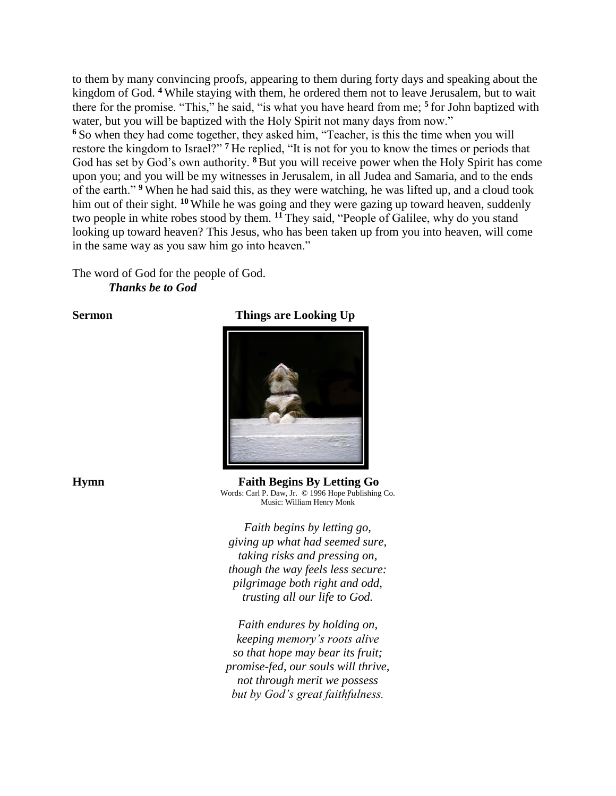to them by many convincing proofs, appearing to them during forty days and speaking about the kingdom of God. **<sup>4</sup>** While staying with them, he ordered them not to leave Jerusalem, but to wait there for the promise. "This," he said, "is what you have heard from me; **<sup>5</sup>** for John baptized with water, but you will be baptized with the Holy Spirit not many days from now." **<sup>6</sup>** So when they had come together, they asked him, "Teacher, is this the time when you will restore the kingdom to Israel?"<sup>7</sup> He replied, "It is not for you to know the times or periods that God has set by God's own authority. **<sup>8</sup>** But you will receive power when the Holy Spirit has come upon you; and you will be my witnesses in Jerusalem, in all Judea and Samaria, and to the ends of the earth." **<sup>9</sup>** When he had said this, as they were watching, he was lifted up, and a cloud took him out of their sight. **<sup>10</sup>** While he was going and they were gazing up toward heaven, suddenly two people in white robes stood by them. **<sup>11</sup>** They said, "People of Galilee, why do you stand looking up toward heaven? This Jesus, who has been taken up from you into heaven, will come in the same way as you saw him go into heaven."

The word of God for the people of God. *Thanks be to God*

### **Sermon** Things are Looking Up



**Hymn Faith Begins By Letting Go** Words: Carl P. Daw, Jr. © 1996 Hope Publishing Co. Music: William Henry Monk

*Faith begins by letting go, giving up what had seemed sure, taking risks and pressing on, though the way feels less secure: pilgrimage both right and odd, trusting all our life to God.*

*Faith endures by holding on, keeping memory's roots alive so that hope may bear its fruit; promise-fed, our souls will thrive, not through merit we possess but by God's great faithfulness.*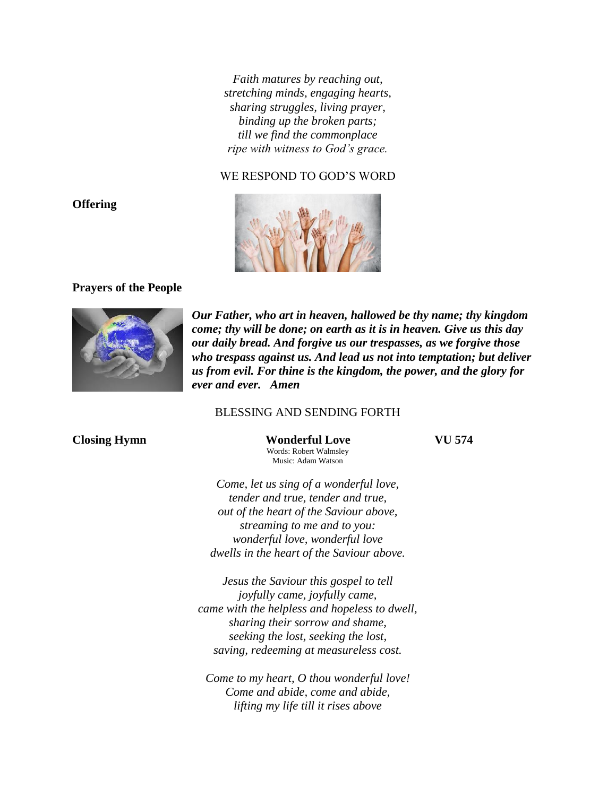*Faith matures by reaching out, stretching minds, engaging hearts, sharing struggles, living prayer, binding up the broken parts; till we find the commonplace ripe with witness to God's grace.*

### WE RESPOND TO GOD'S WORD



### **Prayers of the People**



*Our Father, who art in heaven, hallowed be thy name; thy kingdom come; thy will be done; on earth as it is in heaven. Give us this day our daily bread. And forgive us our trespasses, as we forgive those who trespass against us. And lead us not into temptation; but deliver us from evil. For thine is the kingdom, the power, and the glory for ever and ever. Amen*

### BLESSING AND SENDING FORTH

**Closing Hymn Wonderful Love VU 574** Words: Robert Walmsley Music: Adam Watson

*Come, let us sing of a wonderful love, tender and true, tender and true, out of the heart of the Saviour above, streaming to me and to you: wonderful love, wonderful love dwells in the heart of the Saviour above.*

*Jesus the Saviour this gospel to tell joyfully came, joyfully came, came with the helpless and hopeless to dwell, sharing their sorrow and shame, seeking the lost, seeking the lost, saving, redeeming at measureless cost.*

*Come to my heart, O thou wonderful love! Come and abide, come and abide, lifting my life till it rises above*

### **Offering**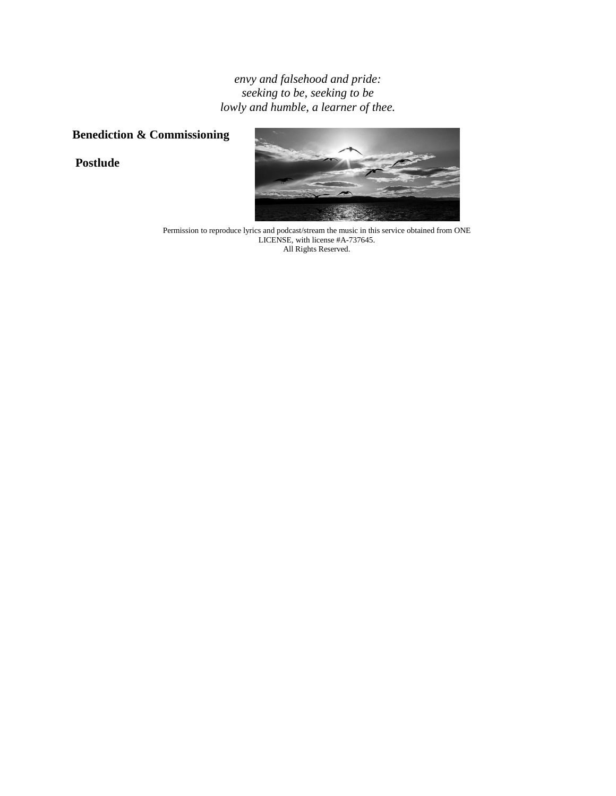*envy and falsehood and pride: seeking to be, seeking to be lowly and humble, a learner of thee.*

# **Benediction & Commissioning**

**Postlude**



Permission to reproduce lyrics and podcast/stream the music in this service obtained from ONE LICENSE, with license #A-737645. All Rights Reserved.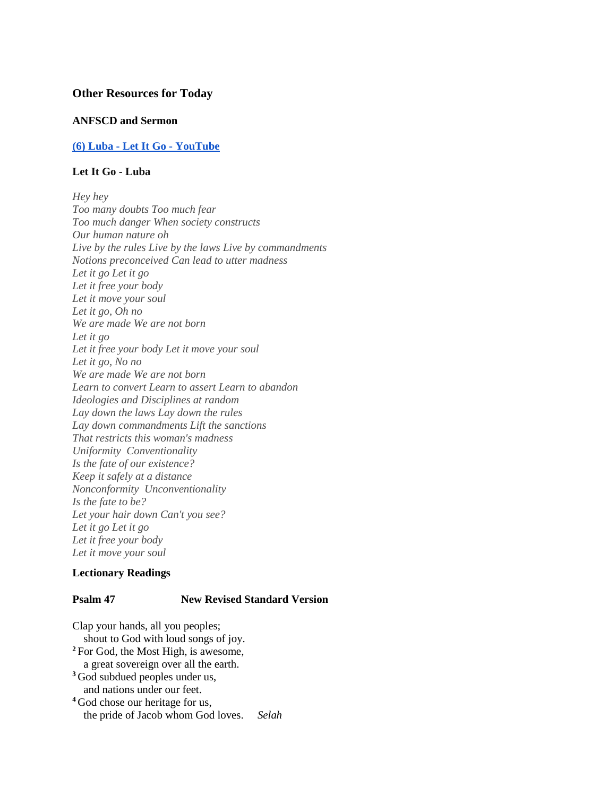### **Other Resources for Today**

### **ANFSCD and Sermon**

### **(6) Luba - [Let It Go -](https://www.youtube.com/watch?v=NK3L6ccMQ4U) YouTube**

### **Let It Go - Luba**

*Hey hey Too many doubts Too much fear Too much danger When society constructs Our human nature oh Live by the rules Live by the laws Live by commandments Notions preconceived Can lead to utter madness Let it go Let it go Let it free your body Let it move your soul Let it go, Oh no We are made We are not born Let it go Let it free your body Let it move your soul Let it go, No no We are made We are not born Learn to convert Learn to assert Learn to abandon Ideologies and Disciplines at random Lay down the laws Lay down the rules Lay down commandments Lift the sanctions That restricts this woman's madness Uniformity Conventionality Is the fate of our existence? Keep it safely at a distance Nonconformity Unconventionality Is the fate to be? Let your hair down Can't you see? Let it go Let it go Let it free your body Let it move your soul*

### **Lectionary Readings**

### **Psalm 47 New Revised Standard Version**

Clap your hands, all you peoples; shout to God with loud songs of joy. **<sup>2</sup>** For God, the Most High, is awesome, a great sovereign over all the earth. **<sup>3</sup>** God subdued peoples under us, and nations under our feet. **<sup>4</sup>** God chose our heritage for us, the pride of Jacob whom God loves. *Selah*